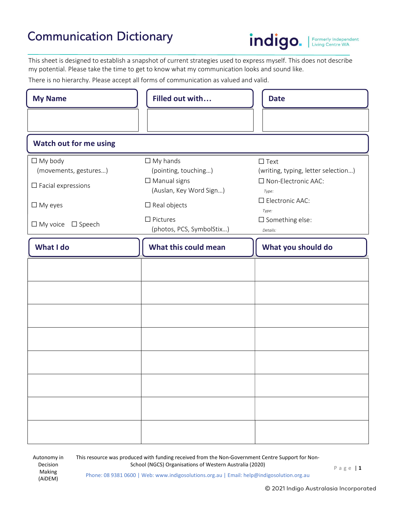## Communication Dictionary



Formerly Independent<br>Living Centre WA

This sheet is designed to establish a snapshot of current strategies used to express myself. This does not describe my potential. Please take the time to get to know what my communication looks and sound like.

There is no hierarchy. Please accept all forms of communication as valued and valid.

| <b>My Name</b>                                                          | Filled out with                                                                           | <b>Date</b>                                                                             |
|-------------------------------------------------------------------------|-------------------------------------------------------------------------------------------|-----------------------------------------------------------------------------------------|
|                                                                         |                                                                                           |                                                                                         |
| <b>Watch out for me using</b>                                           |                                                                                           |                                                                                         |
| $\Box$ My body<br>(movements, gestures)<br>$\square$ Facial expressions | $\Box$ My hands<br>(pointing, touching)<br>$\Box$ Manual signs<br>(Auslan, Key Word Sign) | $\square$ Text<br>(writing, typing, letter selection)<br>□ Non-Electronic AAC:<br>Type: |
| $\Box$ My eyes<br>$\Box$ My voice $\Box$ Speech                         | $\Box$ Real objects<br>$\Box$ Pictures                                                    | □ Electronic AAC:<br>Type:<br>$\square$ Something else:                                 |
| What I do                                                               | (photos, PCS, SymbolStix)<br>What this could mean                                         | Details:<br>What you should do                                                          |
|                                                                         |                                                                                           |                                                                                         |
|                                                                         |                                                                                           |                                                                                         |
|                                                                         |                                                                                           |                                                                                         |
|                                                                         |                                                                                           |                                                                                         |
|                                                                         |                                                                                           |                                                                                         |
|                                                                         |                                                                                           |                                                                                         |
|                                                                         |                                                                                           |                                                                                         |
|                                                                         |                                                                                           |                                                                                         |

This resource was produced with funding received from the Non-Government Centre Support for Non-School (NGCS) Organisations of Western Australia (2020) P a g e | 1

Phone: 08 9381 0600 | Web: www.indigosolutions.org.au | Email: help@indigosolution.org.au